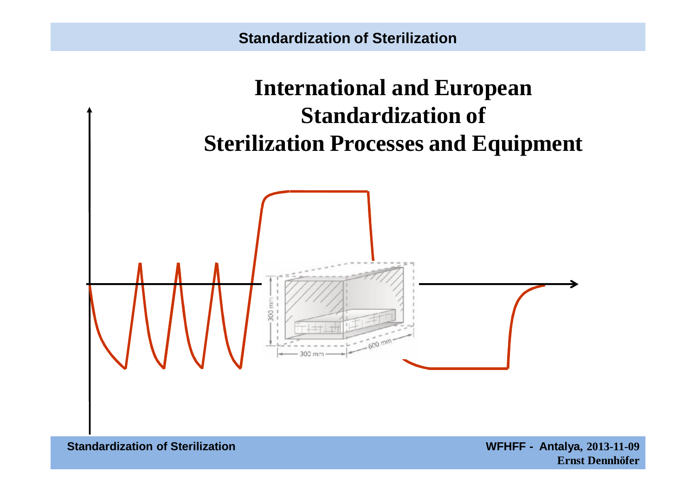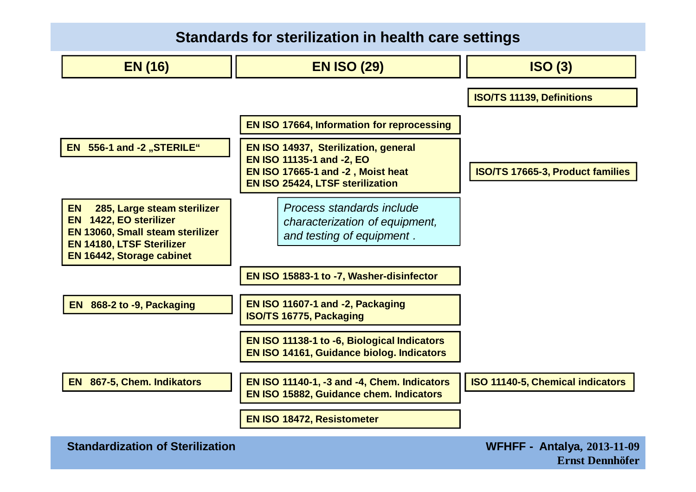### **Standards for sterilization in health care settings**

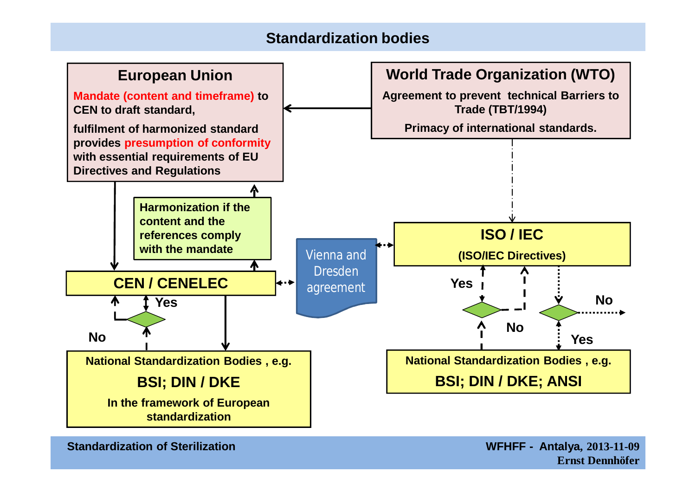### **Standardization bodies**



**Standardization of Sterilization WFHFF - Antalya, 2013-11-09**

**Ernst Dennhöfer**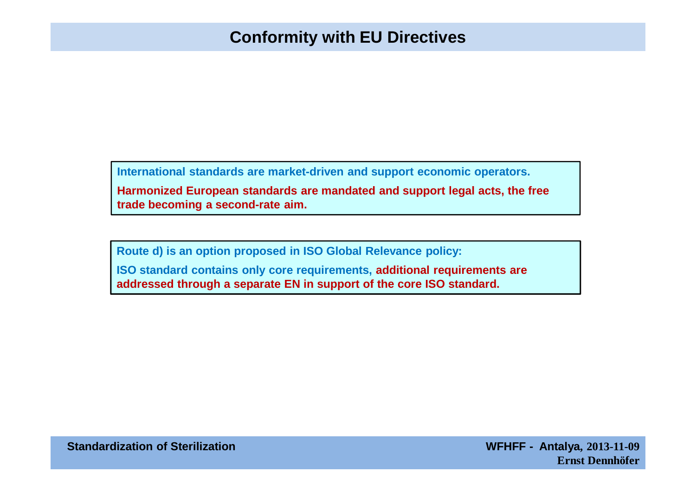## **Conformity with EU Directives**

**International standards are market-driven and support economic operators. Harmonized European standards are mandated and support legal acts, the free trade becoming a second-rate aim.**

**Route d) is an option proposed in ISO Global Relevance policy: ISO standard contains only core requirements, additional requirements are addressed through a separate EN in support of the core ISO standard.**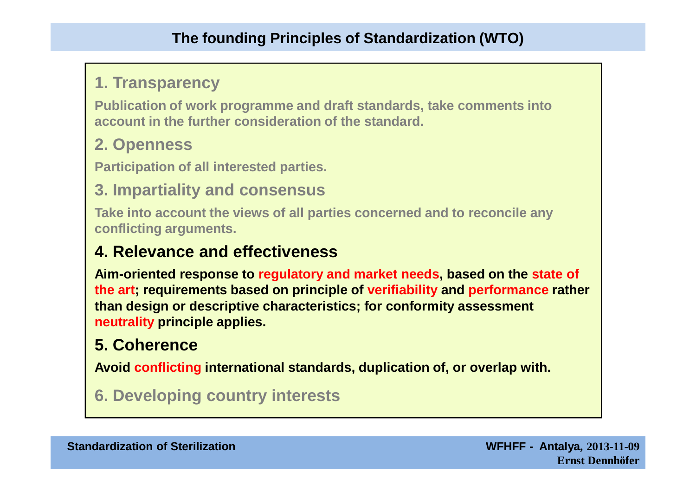## **1. Transparency**

**Publication of work programme and draft standards, take comments into account in the further consideration of the standard.**

## **2. Openness**

**Participation of all interested parties.**

## **3. Impartiality and consensus**

**Take into account the views of all parties concerned and to reconcile any conflicting arguments.** 

## **4. Relevance and effectiveness**

**Aim-oriented response to regulatory and market needs, based on the state of the art; requirements based on principle of verifiability and performance rather than design or descriptive characteristics; for conformity assessment neutrality principle applies.**

# **5. Coherence**

**Avoid conflicting international standards, duplication of, or overlap with.**

## **6. Developing country interests**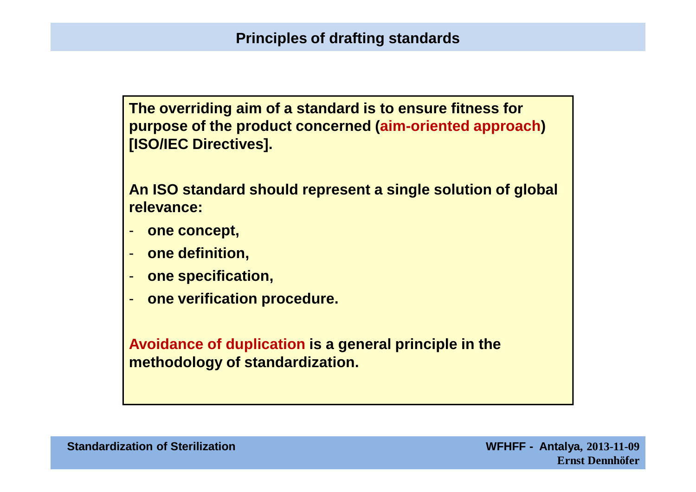**The overriding aim of a standard is to ensure fitness for purpose of the product concerned (aim-oriented approach) [ISO/IEC Directives].**

**An ISO standard should represent a single solution of global relevance:**

- **one concept,**
- **one definition,**
- **one specification,**
- **one verification procedure.**

**Avoidance of duplication is a general principle in the methodology of standardization.**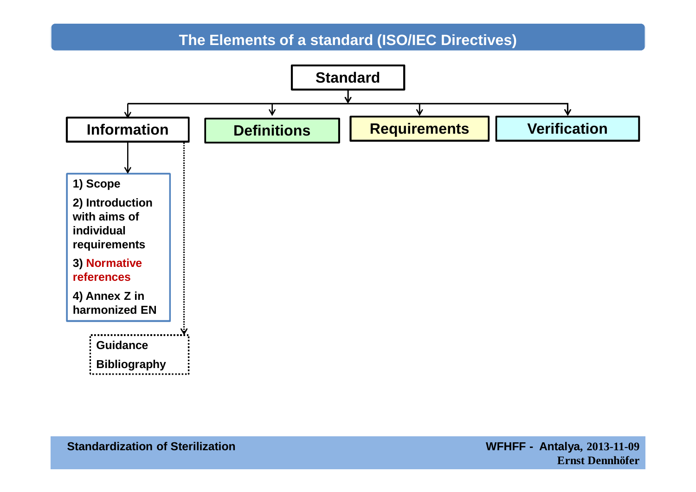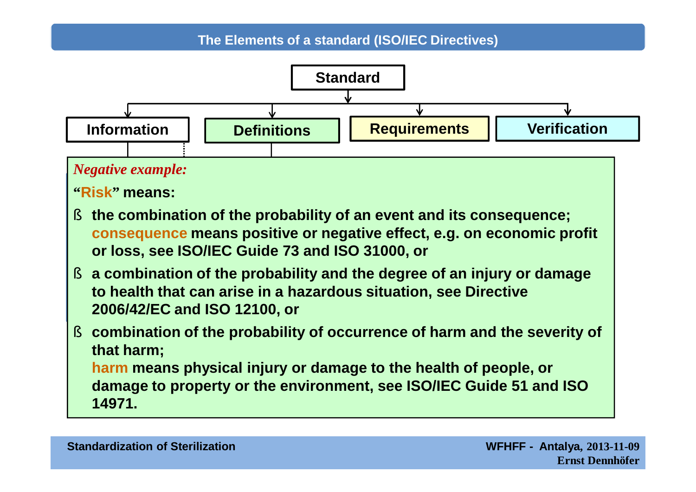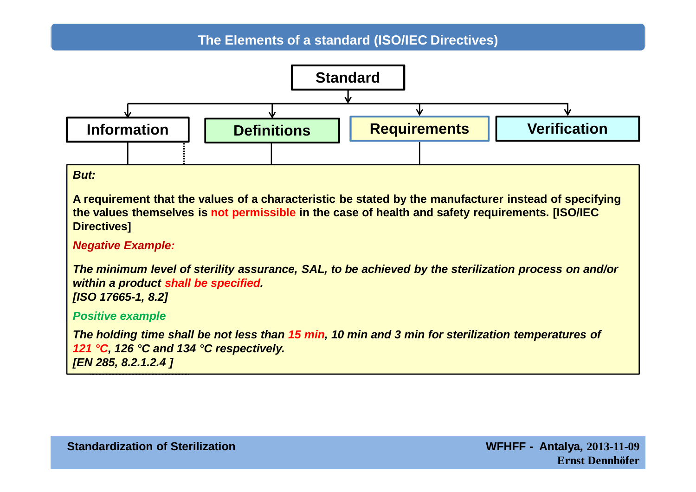

A requirement that the values of a characteristic be stated by the manufacturer instead of specifying the values themselves is not permissible in the case of health and safety requirements. [ISO/IEC **individual Directives]**

#### **Negative Example:**

**The minimum level of sterility assurance**  $S_{ab}$  to be achieved by the **references** *within a product shall be specified.* **4) Annex Z in**  *[ISO 17665-1, 8.2]* **be not design**  *The minimum level of sterility assurance, SAL, to be achieved by the sterilization process on and/or* 

### **Positive example**

**Guidance** *121 °C, 126 °C and 134 °C respectively.* **Bibliography** *[EN 285, 8.2.1.2.4 ]*The holding time shall be not less than 15 min, 10 min and 3 min for sterilization temperatures of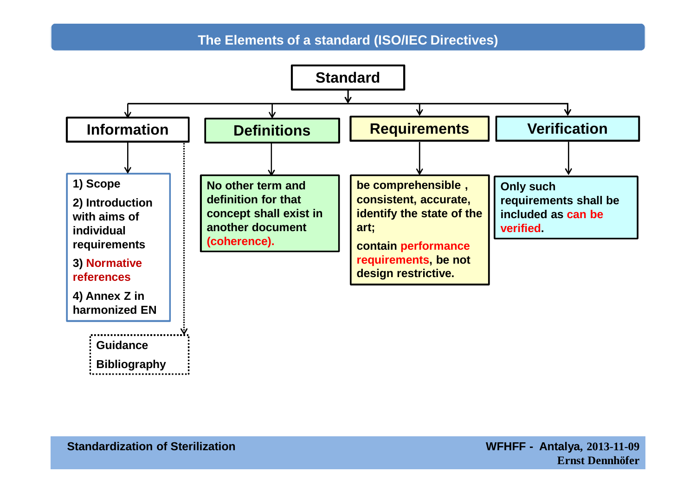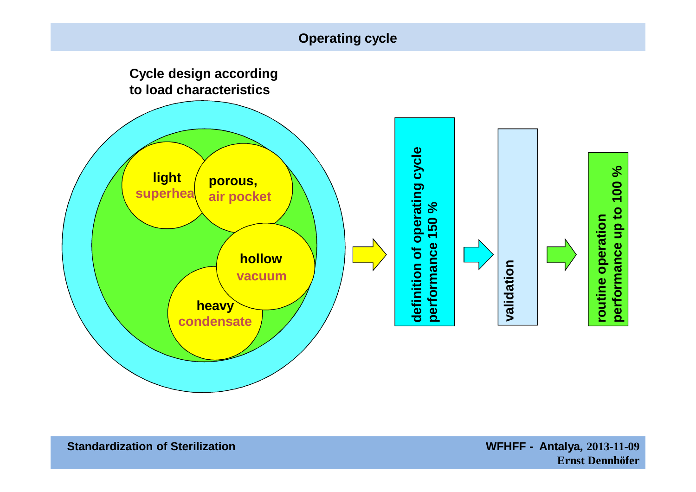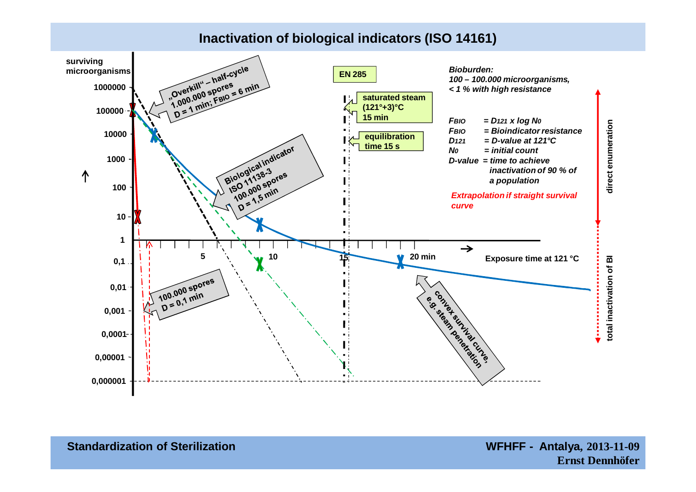#### **Inactivation of biological indicators (ISO 14161)**

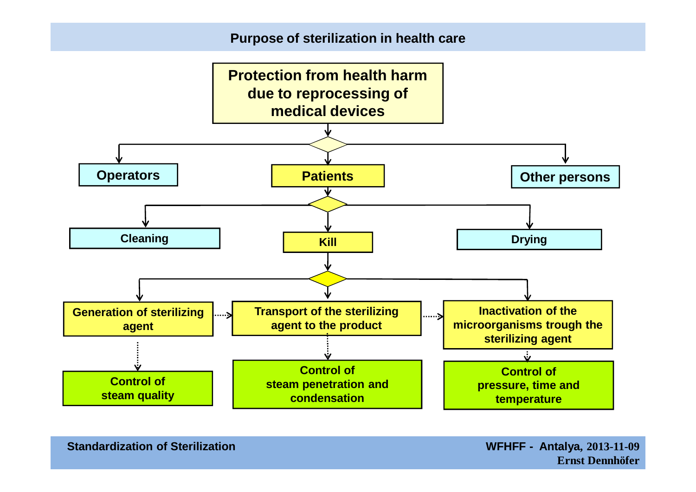#### **Purpose of sterilization in health care**

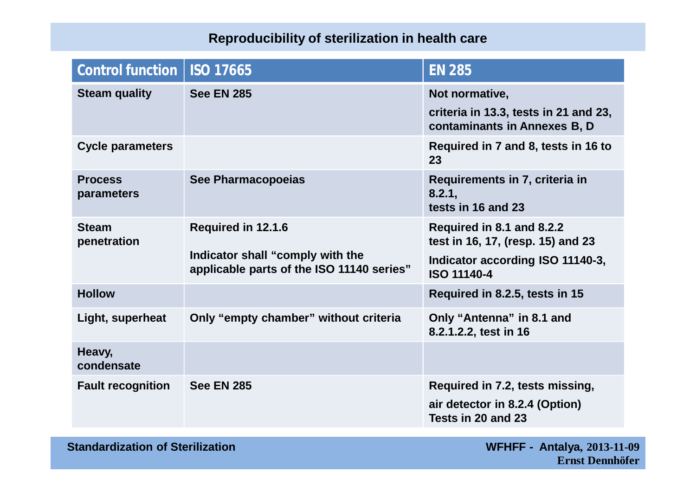### **Reproducibility of sterilization in health care**

| Control function             | <b>ISO 17665</b>                                                                                    | <b>EN 285</b>                                                                                                            |
|------------------------------|-----------------------------------------------------------------------------------------------------|--------------------------------------------------------------------------------------------------------------------------|
| <b>Steam quality</b>         | <b>See EN 285</b>                                                                                   | Not normative,<br>criteria in 13.3, tests in 21 and 23,<br>contaminants in Annexes B, D                                  |
| <b>Cycle parameters</b>      |                                                                                                     | Required in 7 and 8, tests in 16 to<br>23                                                                                |
| <b>Process</b><br>parameters | <b>See Pharmacopoeias</b>                                                                           | Requirements in 7, criteria in<br>8.2.1,<br>tests in 16 and 23                                                           |
| <b>Steam</b><br>penetration  | Required in 12.1.6<br>Indicator shall "comply with the<br>applicable parts of the ISO 11140 series" | Required in 8.1 and 8.2.2<br>test in 16, 17, (resp. 15) and 23<br>Indicator according ISO 11140-3,<br><b>ISO 11140-4</b> |
| <b>Hollow</b>                |                                                                                                     | Required in 8.2.5, tests in 15                                                                                           |
| Light, superheat             | Only "empty chamber" without criteria                                                               | Only "Antenna" in 8.1 and<br>8.2.1.2.2, test in 16                                                                       |
| Heavy,<br>condensate         |                                                                                                     |                                                                                                                          |
| <b>Fault recognition</b>     | <b>See EN 285</b>                                                                                   | Required in 7.2, tests missing,<br>air detector in 8.2.4 (Option)<br>Tests in 20 and 23                                  |